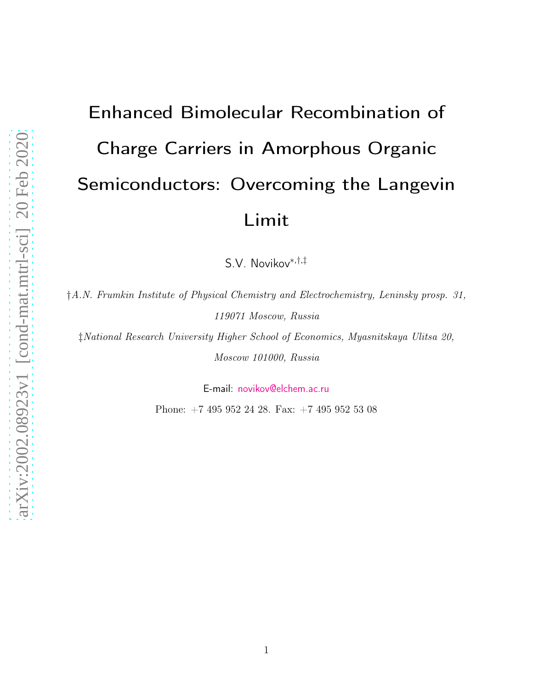# Enhanced Bimolecular Recombination of Charge Carriers in Amorphous Organic Semiconductors: Overcoming the Langevin Limit

S.V. Novikov<sup>∗</sup>,†,‡

†*A.N. Frumkin Institute of Physical Chemistry and Electrochemistry, Leninsky prosp. 31, 119071 Moscow, Russia*

‡*National Research University Higher School of Economics, Myasnitskaya Ulitsa 20, Moscow 101000, Russia*

E-mail: <novikov@elchem.ac.ru>

Phone: +7 495 952 24 28. Fax: +7 495 952 53 08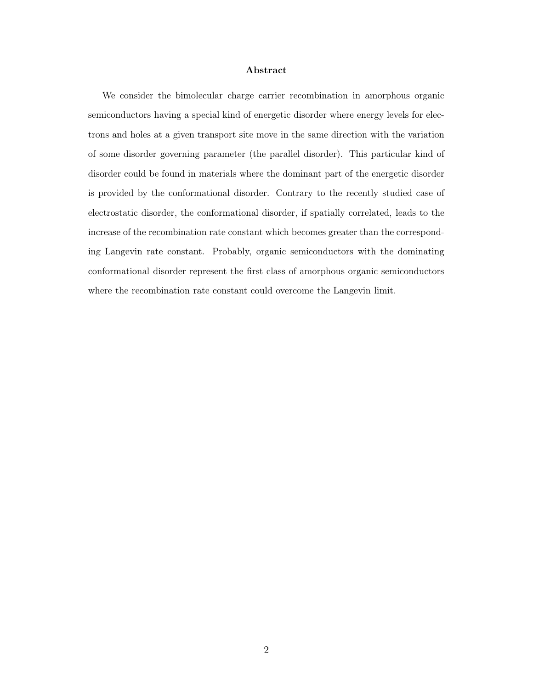#### Abstract

We consider the bimolecular charge carrier recombination in amorphous organic semiconductors having a special kind of energetic disorder where energy levels for electrons and holes at a given transport site move in the same direction with the variation of some disorder governing parameter (the parallel disorder). This particular kind of disorder could be found in materials where the dominant part of the energetic disorder is provided by the conformational disorder. Contrary to the recently studied case of electrostatic disorder, the conformational disorder, if spatially correlated, leads to the increase of the recombination rate constant which becomes greater than the corresponding Langevin rate constant. Probably, organic semiconductors with the dominating conformational disorder represent the first class of amorphous organic semiconductors where the recombination rate constant could overcome the Langevin limit.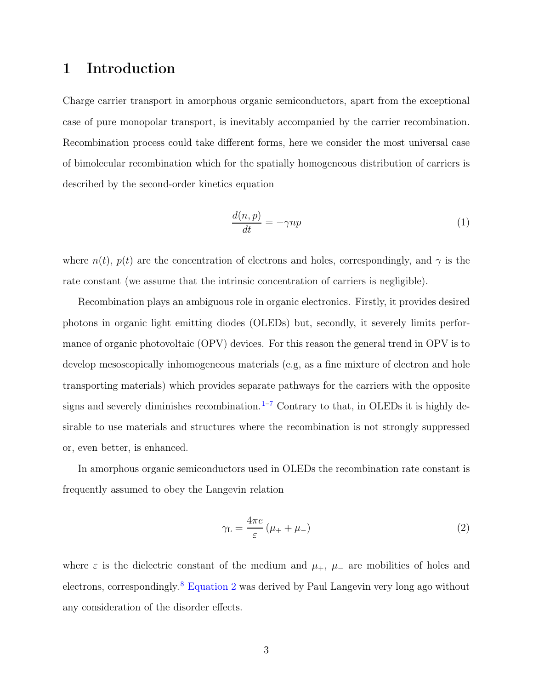### 1 Introduction

Charge carrier transport in amorphous organic semiconductors, apart from the exceptional case of pure monopolar transport, is inevitably accompanied by the carrier recombination. Recombination process could take different forms, here we consider the most universal case of bimolecular recombination which for the spatially homogeneous distribution of carriers is described by the second-order kinetics equation

$$
\frac{d(n,p)}{dt} = -\gamma np\tag{1}
$$

where  $n(t)$ ,  $p(t)$  are the concentration of electrons and holes, correspondingly, and  $\gamma$  is the rate constant (we assume that the intrinsic concentration of carriers is negligible).

Recombination plays an ambiguous role in organic electronics. Firstly, it provides desired photons in organic light emitting diodes (OLEDs) but, secondly, it severely limits performance of organic photovoltaic (OPV) devices. For this reason the general trend in OPV is to develop mesoscopically inhomogeneous materials (e.g, as a fine mixture of electron and hole transporting materials) which provides separate pathways for the carriers with the opposite signs and severely diminishes recombination.<sup>[1](#page-15-0)-7</sup> Contrary to that, in OLEDs it is highly desirable to use materials and structures where the recombination is not strongly suppressed or, even better, is enhanced.

In amorphous organic semiconductors used in OLEDs the recombination rate constant is frequently assumed to obey the Langevin relation

<span id="page-2-0"></span>
$$
\gamma_{\rm L} = \frac{4\pi e}{\varepsilon} \left( \mu_+ + \mu_- \right) \tag{2}
$$

where  $\varepsilon$  is the dielectric constant of the medium and  $\mu_+$ ,  $\mu_-$  are mobilities of holes and electrons, correspondingly.[8](#page-16-1) Equation [2](#page-2-0) was derived by Paul Langevin very long ago without any consideration of the disorder effects.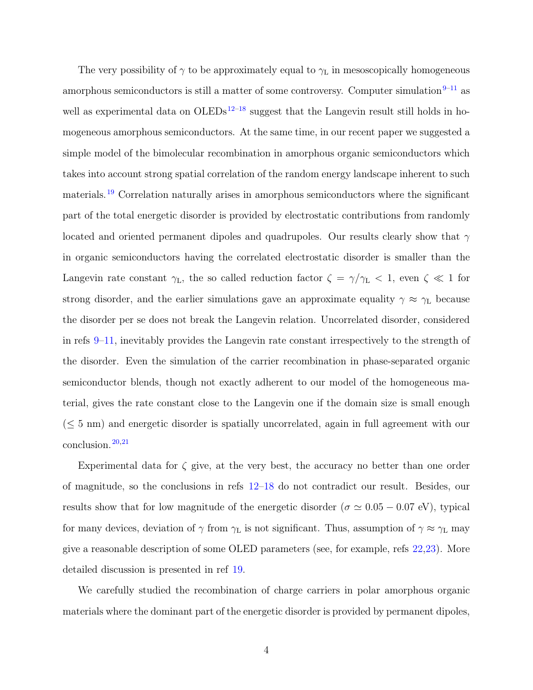The very possibility of  $\gamma$  to be approximately equal to  $\gamma_L$  in mesoscopically homogeneous amorphous semiconductors is still a matter of some controversy. Computer simulation $9-11$  $9-11$  as well as experimental data on  $OLEDs<sup>12–18</sup>$  $OLEDs<sup>12–18</sup>$  $OLEDs<sup>12–18</sup>$  $OLEDs<sup>12–18</sup>$  suggest that the Langevin result still holds in homogeneous amorphous semiconductors. At the same time, in our recent paper we suggested a simple model of the bimolecular recombination in amorphous organic semiconductors which takes into account strong spatial correlation of the random energy landscape inherent to such materials.[19](#page-17-1) Correlation naturally arises in amorphous semiconductors where the significant part of the total energetic disorder is provided by electrostatic contributions from randomly located and oriented permanent dipoles and quadrupoles. Our results clearly show that  $\gamma$ in organic semiconductors having the correlated electrostatic disorder is smaller than the Langevin rate constant  $\gamma_L$ , the so called reduction factor  $\zeta = \gamma/\gamma_L < 1$ , even  $\zeta \ll 1$  for strong disorder, and the earlier simulations gave an approximate equality  $\gamma \approx \gamma_L$  because the disorder per se does not break the Langevin relation. Uncorrelated disorder, considered in refs [9](#page-16-2)[–11](#page-16-3), inevitably provides the Langevin rate constant irrespectively to the strength of the disorder. Even the simulation of the carrier recombination in phase-separated organic semiconductor blends, though not exactly adherent to our model of the homogeneous material, gives the rate constant close to the Langevin one if the domain size is small enough  $(\leq 5 \text{ nm})$  and energetic disorder is spatially uncorrelated, again in full agreement with our  $\text{conclusion.}^{20,21}$  $\text{conclusion.}^{20,21}$  $\text{conclusion.}^{20,21}$  $\text{conclusion.}^{20,21}$ 

Experimental data for  $\zeta$  give, at the very best, the accuracy no better than one order of magnitude, so the conclusions in refs [12](#page-16-4)[–18](#page-17-0) do not contradict our result. Besides, our results show that for low magnitude of the energetic disorder ( $\sigma \simeq 0.05 - 0.07$  eV), typical for many devices, deviation of  $\gamma$  from  $\gamma_L$  is not significant. Thus, assumption of  $\gamma \approx \gamma_L$  may give a reasonable description of some OLED parameters (see, for example, refs [22](#page-18-0)[,23\)](#page-18-1). More detailed discussion is presented in ref [19.](#page-17-1)

We carefully studied the recombination of charge carriers in polar amorphous organic materials where the dominant part of the energetic disorder is provided by permanent dipoles,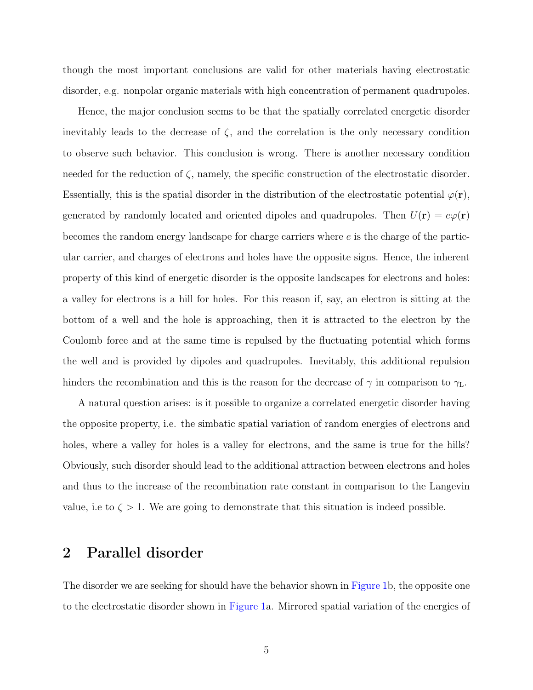though the most important conclusions are valid for other materials having electrostatic disorder, e.g. nonpolar organic materials with high concentration of permanent quadrupoles.

Hence, the major conclusion seems to be that the spatially correlated energetic disorder inevitably leads to the decrease of  $\zeta$ , and the correlation is the only necessary condition to observe such behavior. This conclusion is wrong. There is another necessary condition needed for the reduction of  $\zeta$ , namely, the specific construction of the electrostatic disorder. Essentially, this is the spatial disorder in the distribution of the electrostatic potential  $\varphi(\mathbf{r}),$ generated by randomly located and oriented dipoles and quadrupoles. Then  $U(\mathbf{r}) = e\varphi(\mathbf{r})$ becomes the random energy landscape for charge carriers where e is the charge of the particular carrier, and charges of electrons and holes have the opposite signs. Hence, the inherent property of this kind of energetic disorder is the opposite landscapes for electrons and holes: a valley for electrons is a hill for holes. For this reason if, say, an electron is sitting at the bottom of a well and the hole is approaching, then it is attracted to the electron by the Coulomb force and at the same time is repulsed by the fluctuating potential which forms the well and is provided by dipoles and quadrupoles. Inevitably, this additional repulsion hinders the recombination and this is the reason for the decrease of  $\gamma$  in comparison to  $\gamma_L$ .

A natural question arises: is it possible to organize a correlated energetic disorder having the opposite property, i.e. the simbatic spatial variation of random energies of electrons and holes, where a valley for holes is a valley for electrons, and the same is true for the hills? Obviously, such disorder should lead to the additional attraction between electrons and holes and thus to the increase of the recombination rate constant in comparison to the Langevin value, i.e to  $\zeta > 1$ . We are going to demonstrate that this situation is indeed possible.

### 2 Parallel disorder

The disorder we are seeking for should have the behavior shown in Figure [1b](#page-6-0), the opposite one to the electrostatic disorder shown in Figure [1a](#page-6-0). Mirrored spatial variation of the energies of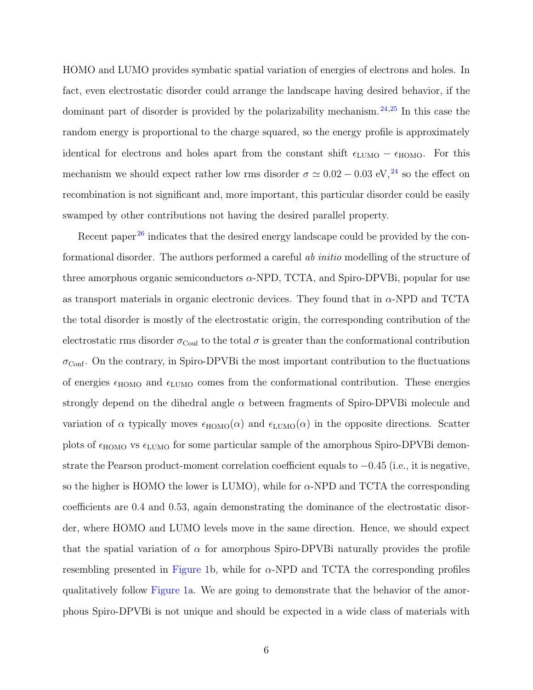HOMO and LUMO provides symbatic spatial variation of energies of electrons and holes. In fact, even electrostatic disorder could arrange the landscape having desired behavior, if the dominant part of disorder is provided by the polarizability mechanism.<sup>[24](#page-18-2)[,25](#page-18-3)</sup> In this case the random energy is proportional to the charge squared, so the energy profile is approximately identical for electrons and holes apart from the constant shift  $\epsilon_{\text{LUMO}} - \epsilon_{\text{HOMO}}$ . For this mechanism we should expect rather low rms disorder  $\sigma \simeq 0.02-0.03$  eV,<sup>[24](#page-18-2)</sup> so the effect on recombination is not significant and, more important, this particular disorder could be easily swamped by other contributions not having the desired parallel property.

Recent paper<sup>[26](#page-18-4)</sup> indicates that the desired energy landscape could be provided by the conformational disorder. The authors performed a careful *ab initio* modelling of the structure of three amorphous organic semiconductors  $\alpha$ -NPD, TCTA, and Spiro-DPVBi, popular for use as transport materials in organic electronic devices. They found that in  $\alpha$ -NPD and TCTA the total disorder is mostly of the electrostatic origin, the corresponding contribution of the electrostatic rms disorder  $\sigma_{\text{Coul}}$  to the total  $\sigma$  is greater than the conformational contribution  $\sigma_{\text{Conf}}$ . On the contrary, in Spiro-DPVBi the most important contribution to the fluctuations of energies  $\epsilon_{\text{HOMO}}$  and  $\epsilon_{\text{LUMO}}$  comes from the conformational contribution. These energies strongly depend on the dihedral angle  $\alpha$  between fragments of Spiro-DPVBi molecule and variation of  $\alpha$  typically moves  $\epsilon_{\text{HOMO}}(\alpha)$  and  $\epsilon_{\text{LUMO}}(\alpha)$  in the opposite directions. Scatter plots of  $\epsilon_{\text{HOMO}}$  vs  $\epsilon_{\text{LUMO}}$  for some particular sample of the amorphous Spiro-DPVBi demonstrate the Pearson product-moment correlation coefficient equals to −0.45 (i.e., it is negative, so the higher is HOMO the lower is LUMO), while for  $\alpha$ -NPD and TCTA the corresponding coefficients are 0.4 and 0.53, again demonstrating the dominance of the electrostatic disorder, where HOMO and LUMO levels move in the same direction. Hence, we should expect that the spatial variation of  $\alpha$  for amorphous Spiro-DPVBi naturally provides the profile resembling presented in Figure [1b](#page-6-0), while for  $\alpha$ -NPD and TCTA the corresponding profiles qualitatively follow Figure [1a](#page-6-0). We are going to demonstrate that the behavior of the amorphous Spiro-DPVBi is not unique and should be expected in a wide class of materials with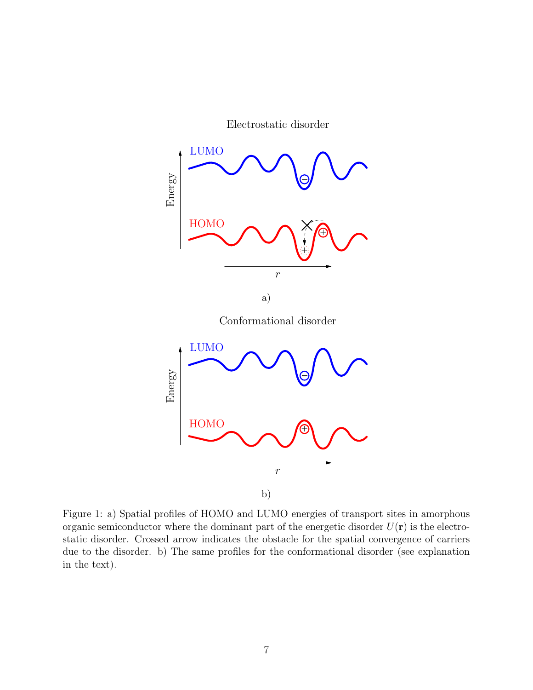Electrostatic disorder

<span id="page-6-0"></span>

Figure 1: a) Spatial profiles of HOMO and LUMO energies of transport sites in amorphous organic semiconductor where the dominant part of the energetic disorder  $U(\mathbf{r})$  is the electrostatic disorder. Crossed arrow indicates the obstacle for the spatial convergence of carriers due to the disorder. b) The same profiles for the conformational disorder (see explanation in the text).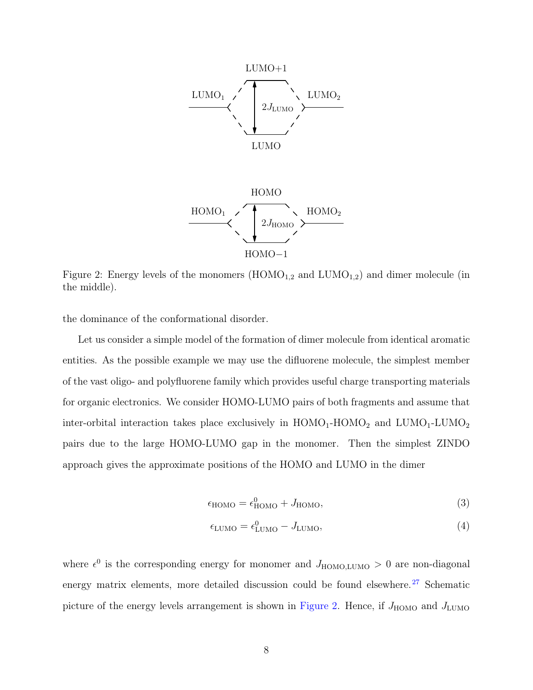<span id="page-7-0"></span>



Figure 2: Energy levels of the monomers  $(HOMO_{1,2})$  and  $LUMO_{1,2})$  and dimer molecule (in the middle).

the dominance of the conformational disorder.

Let us consider a simple model of the formation of dimer molecule from identical aromatic entities. As the possible example we may use the difluorene molecule, the simplest member of the vast oligo- and polyfluorene family which provides useful charge transporting materials for organic electronics. We consider HOMO-LUMO pairs of both fragments and assume that inter-orbital interaction takes place exclusively in  $\rm{HOMO_1\text{-}HOMO_2}$  and  $\rm{LUMO_1\text{-}LUMO_2}$ pairs due to the large HOMO-LUMO gap in the monomer. Then the simplest ZINDO approach gives the approximate positions of the HOMO and LUMO in the dimer

$$
\epsilon_{\text{HOMO}} = \epsilon_{\text{HOMO}}^0 + J_{\text{HOMO}},\tag{3}
$$

$$
\epsilon_{\text{LUMO}} = \epsilon_{\text{LUMO}}^0 - J_{\text{LUMO}},\tag{4}
$$

where  $\epsilon^0$  is the corresponding energy for monomer and  $J_{\text{HOMO, LUMO}} > 0$  are non-diagonal energy matrix elements, more detailed discussion could be found elsewhere.<sup>[27](#page-18-5)</sup> Schematic picture of the energy levels arrangement is shown in Figure [2.](#page-7-0) Hence, if  $J_{\text{HOMO}}$  and  $J_{\text{LUMO}}$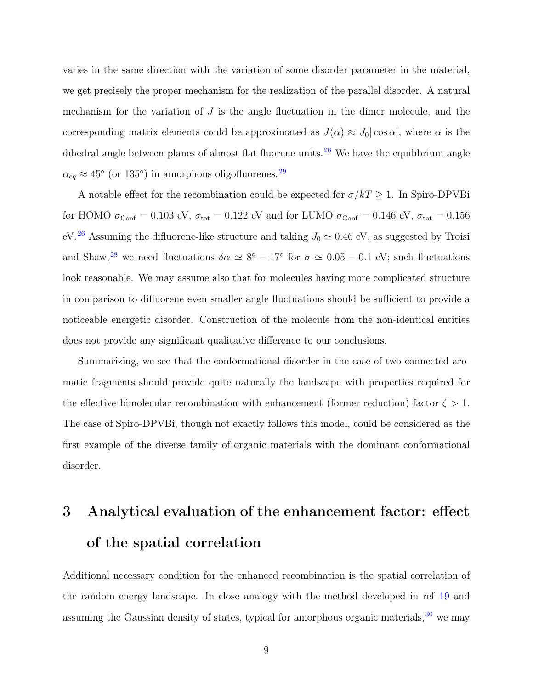varies in the same direction with the variation of some disorder parameter in the material, we get precisely the proper mechanism for the realization of the parallel disorder. A natural mechanism for the variation of  $J$  is the angle fluctuation in the dimer molecule, and the corresponding matrix elements could be approximated as  $J(\alpha) \approx J_0 |\cos \alpha|$ , where  $\alpha$  is the dihedral angle between planes of almost flat fluorene units.<sup>[28](#page-18-6)</sup> We have the equilibrium angle  $\alpha_{eq} \approx 45^{\circ}$  (or 135°) in amorphous oligofluorenes.<sup>[29](#page-19-0)</sup>

A notable effect for the recombination could be expected for  $\sigma/kT \geq 1$ . In Spiro-DPVBi for HOMO  $\sigma_{\text{Conf}} = 0.103$  eV,  $\sigma_{\text{tot}} = 0.122$  eV and for LUMO  $\sigma_{\text{Conf}} = 0.146$  eV,  $\sigma_{\text{tot}} = 0.156$ eV.<sup>[26](#page-18-4)</sup> Assuming the difluorene-like structure and taking  $J_0 \simeq 0.46$  eV, as suggested by Troisi and Shaw,<sup>[28](#page-18-6)</sup> we need fluctuations  $\delta \alpha \simeq 8^{\circ} - 17^{\circ}$  for  $\sigma \simeq 0.05 - 0.1$  eV; such fluctuations look reasonable. We may assume also that for molecules having more complicated structure in comparison to difluorene even smaller angle fluctuations should be sufficient to provide a noticeable energetic disorder. Construction of the molecule from the non-identical entities does not provide any significant qualitative difference to our conclusions.

Summarizing, we see that the conformational disorder in the case of two connected aromatic fragments should provide quite naturally the landscape with properties required for the effective bimolecular recombination with enhancement (former reduction) factor  $\zeta > 1$ . The case of Spiro-DPVBi, though not exactly follows this model, could be considered as the first example of the diverse family of organic materials with the dominant conformational disorder.

### 3 Analytical evaluation of the enhancement factor: effect of the spatial correlation

Additional necessary condition for the enhanced recombination is the spatial correlation of the random energy landscape. In close analogy with the method developed in ref [19](#page-17-1) and assuming the Gaussian density of states, typical for amorphous organic materials,  $30$  we may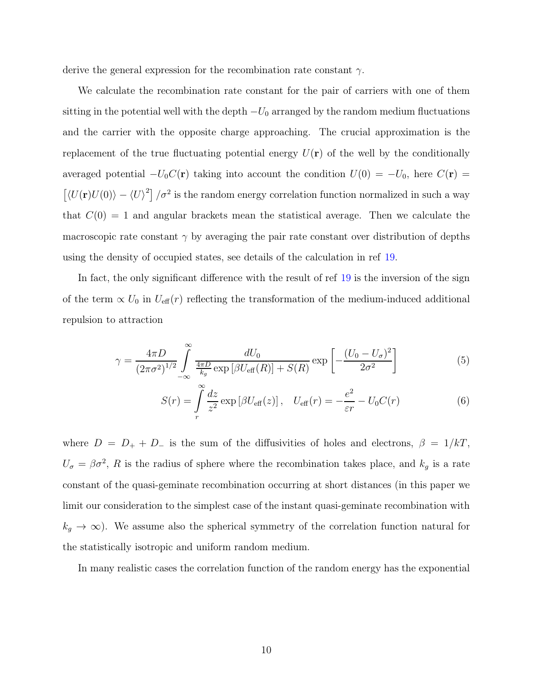derive the general expression for the recombination rate constant  $\gamma$ .

We calculate the recombination rate constant for the pair of carriers with one of them sitting in the potential well with the depth  $-U_0$  arranged by the random medium fluctuations and the carrier with the opposite charge approaching. The crucial approximation is the replacement of the true fluctuating potential energy  $U(\mathbf{r})$  of the well by the conditionally averaged potential  $-U_0C(\mathbf{r})$  taking into account the condition  $U(0) = -U_0$ , here  $C(\mathbf{r}) =$  $\left[ \langle U(\mathbf{r})U(0) \rangle - \langle U \rangle^2 \right] / \sigma^2$  is the random energy correlation function normalized in such a way that  $C(0) = 1$  and angular brackets mean the statistical average. Then we calculate the macroscopic rate constant  $\gamma$  by averaging the pair rate constant over distribution of depths using the density of occupied states, see details of the calculation in ref [19.](#page-17-1)

In fact, the only significant difference with the result of ref [19](#page-17-1) is the inversion of the sign of the term  $\propto U_0$  in  $U_{\text{eff}}(r)$  reflecting the transformation of the medium-induced additional repulsion to attraction

<span id="page-9-0"></span>
$$
\gamma = \frac{4\pi D}{\left(2\pi\sigma^2\right)^{1/2}} \int_{-\infty}^{\infty} \frac{dU_0}{\frac{4\pi D}{k_g} \exp\left[\beta U_{\text{eff}}(R)\right] + S(R)} \exp\left[-\frac{\left(U_0 - U_{\sigma}\right)^2}{2\sigma^2}\right] \tag{5}
$$

$$
S(r) = \int_{r}^{\infty} \frac{dz}{z^2} \exp\left[\beta U_{\text{eff}}(z)\right], \quad U_{\text{eff}}(r) = -\frac{e^2}{\varepsilon r} - U_0 C(r) \tag{6}
$$

where  $D = D_+ + D_-$  is the sum of the diffusivities of holes and electrons,  $\beta = 1/kT$ ,  $U_{\sigma} = \beta \sigma^2$ , R is the radius of sphere where the recombination takes place, and  $k_g$  is a rate constant of the quasi-geminate recombination occurring at short distances (in this paper we limit our consideration to the simplest case of the instant quasi-geminate recombination with  $k_g \to \infty$ ). We assume also the spherical symmetry of the correlation function natural for the statistically isotropic and uniform random medium.

In many realistic cases the correlation function of the random energy has the exponential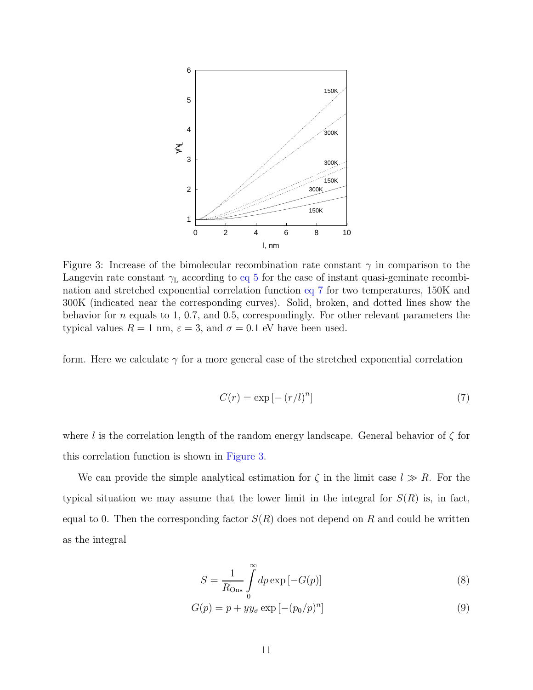<span id="page-10-1"></span>

Figure 3: Increase of the bimolecular recombination rate constant  $\gamma$  in comparison to the Langevin rate constant  $\gamma_L$  according to eq [5](#page-9-0) for the case of instant quasi-geminate recombination and stretched exponential correlation function eq [7](#page-10-0) for two temperatures, 150K and 300K (indicated near the corresponding curves). Solid, broken, and dotted lines show the behavior for n equals to 1, 0.7, and 0.5, correspondingly. For other relevant parameters the typical values  $R = 1$  nm,  $\varepsilon = 3$ , and  $\sigma = 0.1$  eV have been used.

form. Here we calculate  $\gamma$  for a more general case of the stretched exponential correlation

<span id="page-10-0"></span>
$$
C(r) = \exp\left[-\left(r/l\right)^n\right] \tag{7}
$$

where l is the correlation length of the random energy landscape. General behavior of  $\zeta$  for this correlation function is shown in Figure [3.](#page-10-1)

We can provide the simple analytical estimation for  $\zeta$  in the limit case  $l \gg R$ . For the typical situation we may assume that the lower limit in the integral for  $S(R)$  is, in fact, equal to 0. Then the corresponding factor  $S(R)$  does not depend on R and could be written as the integral

$$
S = \frac{1}{R_{\text{Ons}}} \int_{0}^{\infty} dp \exp\left[-G(p)\right] \tag{8}
$$

$$
G(p) = p + yy_{\sigma} \exp\left[-(p_0/p)^n\right]
$$
\n(9)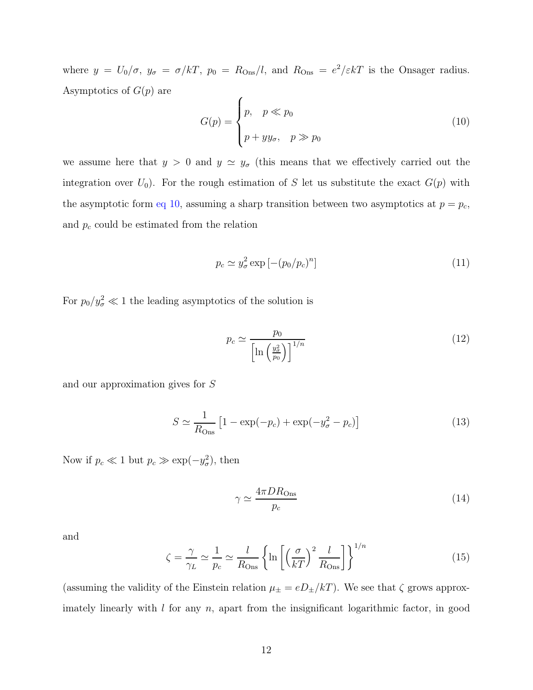where  $y = U_0/\sigma$ ,  $y_{\sigma} = \sigma/kT$ ,  $p_0 = R_{\text{Ons}}/l$ , and  $R_{\text{Ons}} = e^2/\varepsilon kT$  is the Onsager radius. Asymptotics of  $G(p)$  are  $\epsilon$ 

<span id="page-11-0"></span>
$$
G(p) = \begin{cases} p, & p \ll p_0 \\ p + yy_{\sigma}, & p \gg p_0 \end{cases}
$$
 (10)

we assume here that  $y > 0$  and  $y \simeq y_{\sigma}$  (this means that we effectively carried out the integration over  $U_0$ ). For the rough estimation of S let us substitute the exact  $G(p)$  with the asymptotic form eq [10,](#page-11-0) assuming a sharp transition between two asymptotics at  $p = p_c$ , and  $p_c$  could be estimated from the relation

$$
p_c \simeq y_\sigma^2 \exp\left[-(p_0/p_c)^n\right] \tag{11}
$$

For  $p_0/y_\sigma^2 \ll 1$  the leading asymptotics of the solution is

$$
p_c \simeq \frac{p_0}{\left[\ln\left(\frac{y_\sigma^2}{p_0}\right)\right]^{1/n}}\tag{12}
$$

and our approximation gives for S

$$
S \simeq \frac{1}{R_{\text{Ons}}} \left[ 1 - \exp(-p_c) + \exp(-y_\sigma^2 - p_c) \right]
$$
 (13)

Now if  $p_c \ll 1$  but  $p_c \gg \exp(-y_\sigma^2)$  $_{\sigma}^{2}$ ), then

$$
\gamma \simeq \frac{4\pi D R_{\text{Ons}}}{p_c} \tag{14}
$$

and

<span id="page-11-1"></span>
$$
\zeta = \frac{\gamma}{\gamma_L} \simeq \frac{1}{p_c} \simeq \frac{l}{R_{\text{Ons}}} \left\{ \ln \left[ \left( \frac{\sigma}{k} \right)^2 \frac{l}{R_{\text{Ons}}} \right] \right\}^{1/n} \tag{15}
$$

(assuming the validity of the Einstein relation  $\mu_{\pm} = e D_{\pm}/kT$ ). We see that  $\zeta$  grows approximately linearly with  $l$  for any  $n$ , apart from the insignificant logarithmic factor, in good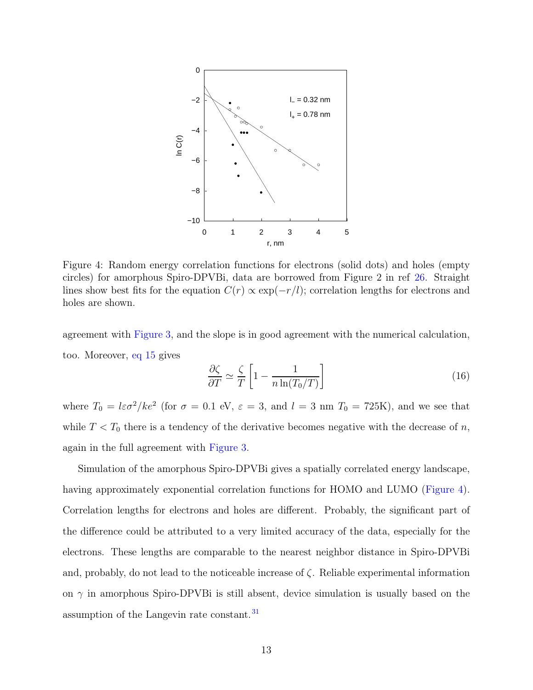<span id="page-12-0"></span>

Figure 4: Random energy correlation functions for electrons (solid dots) and holes (empty circles) for amorphous Spiro-DPVBi, data are borrowed from Figure 2 in ref [26](#page-18-4). Straight lines show best fits for the equation  $C(r) \propto \exp(-r/l)$ ; correlation lengths for electrons and holes are shown.

agreement with Figure [3,](#page-10-1) and the slope is in good agreement with the numerical calculation, too. Moreover, eq [15](#page-11-1) gives

$$
\frac{\partial \zeta}{\partial T} \simeq \frac{\zeta}{T} \left[ 1 - \frac{1}{n \ln(T_0/T)} \right]
$$
\n(16)

where  $T_0 = l\varepsilon\sigma^2/ke^2$  (for  $\sigma = 0.1$  eV,  $\varepsilon = 3$ , and  $l = 3$  nm  $T_0 = 725$ K), and we see that while  $T < T_0$  there is a tendency of the derivative becomes negative with the decrease of n, again in the full agreement with Figure [3.](#page-10-1)

Simulation of the amorphous Spiro-DPVBi gives a spatially correlated energy landscape, having approximately exponential correlation functions for HOMO and LUMO (Figure [4\)](#page-12-0). Correlation lengths for electrons and holes are different. Probably, the significant part of the difference could be attributed to a very limited accuracy of the data, especially for the electrons. These lengths are comparable to the nearest neighbor distance in Spiro-DPVBi and, probably, do not lead to the noticeable increase of  $\zeta$ . Reliable experimental information on  $\gamma$  in amorphous Spiro-DPVBi is still absent, device simulation is usually based on the assumption of the Langevin rate constant.<sup>[31](#page-19-2)</sup>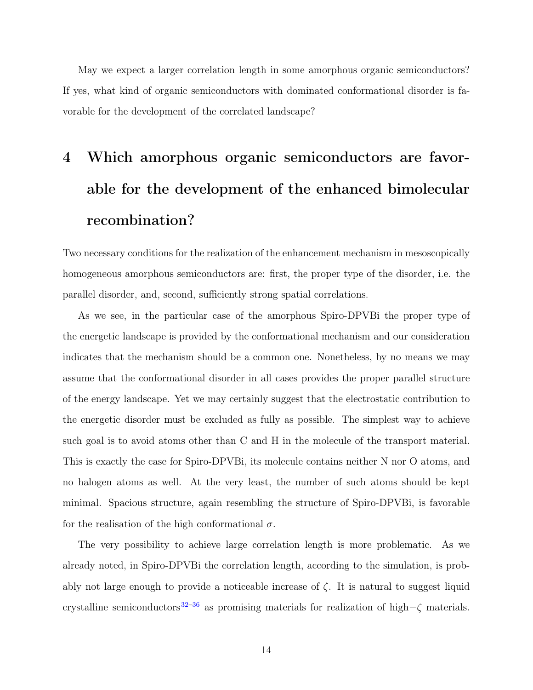May we expect a larger correlation length in some amorphous organic semiconductors? If yes, what kind of organic semiconductors with dominated conformational disorder is favorable for the development of the correlated landscape?

## 4 Which amorphous organic semiconductors are favorable for the development of the enhanced bimolecular recombination?

Two necessary conditions for the realization of the enhancement mechanism in mesoscopically homogeneous amorphous semiconductors are: first, the proper type of the disorder, i.e. the parallel disorder, and, second, sufficiently strong spatial correlations.

As we see, in the particular case of the amorphous Spiro-DPVBi the proper type of the energetic landscape is provided by the conformational mechanism and our consideration indicates that the mechanism should be a common one. Nonetheless, by no means we may assume that the conformational disorder in all cases provides the proper parallel structure of the energy landscape. Yet we may certainly suggest that the electrostatic contribution to the energetic disorder must be excluded as fully as possible. The simplest way to achieve such goal is to avoid atoms other than C and H in the molecule of the transport material. This is exactly the case for Spiro-DPVBi, its molecule contains neither N nor O atoms, and no halogen atoms as well. At the very least, the number of such atoms should be kept minimal. Spacious structure, again resembling the structure of Spiro-DPVBi, is favorable for the realisation of the high conformational  $\sigma$ .

The very possibility to achieve large correlation length is more problematic. As we already noted, in Spiro-DPVBi the correlation length, according to the simulation, is probably not large enough to provide a noticeable increase of  $\zeta$ . It is natural to suggest liquid crystalline semiconductors<sup>[32](#page-19-3)[–36](#page-19-4)</sup> as promising materials for realization of high– $\zeta$  materials.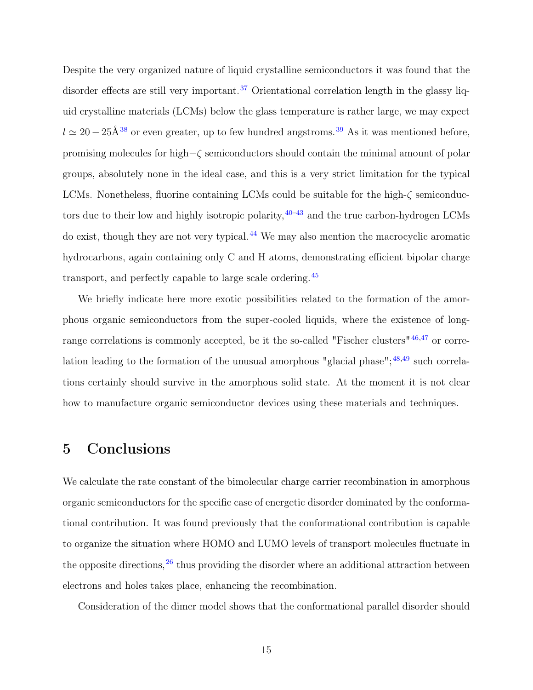Despite the very organized nature of liquid crystalline semiconductors it was found that the disorder effects are still very important.<sup>[37](#page-19-5)</sup> Orientational correlation length in the glassy liquid crystalline materials (LCMs) below the glass temperature is rather large, we may expect  $l \approx 20-25$ Å<sup>[38](#page-20-0)</sup> or even greater, up to few hundred angstroms.<sup>[39](#page-20-1)</sup> As it was mentioned before, promising molecules for high−ζ semiconductors should contain the minimal amount of polar groups, absolutely none in the ideal case, and this is a very strict limitation for the typical LCMs. Nonetheless, fluorine containing LCMs could be suitable for the high- $\zeta$  semiconductors due to their low and highly isotropic polarity,  $40-43$  $40-43$  and the true carbon-hydrogen LCMs do exist, though they are not very typical.[44](#page-20-4) We may also mention the macrocyclic aromatic hydrocarbons, again containing only C and H atoms, demonstrating efficient bipolar charge transport, and perfectly capable to large scale ordering.[45](#page-20-5)

We briefly indicate here more exotic possibilities related to the formation of the amorphous organic semiconductors from the super-cooled liquids, where the existence of long-range correlations is commonly accepted, be it the so-called "Fischer clusters"<sup>[46](#page-21-0)[,47](#page-21-1)</sup> or correlation leading to the formation of the unusual amorphous "glacial phase"; $48,49$  $48,49$  such correlations certainly should survive in the amorphous solid state. At the moment it is not clear how to manufacture organic semiconductor devices using these materials and techniques.

### 5 Conclusions

We calculate the rate constant of the bimolecular charge carrier recombination in amorphous organic semiconductors for the specific case of energetic disorder dominated by the conformational contribution. It was found previously that the conformational contribution is capable to organize the situation where HOMO and LUMO levels of transport molecules fluctuate in the opposite directions,  $26$  thus providing the disorder where an additional attraction between electrons and holes takes place, enhancing the recombination.

Consideration of the dimer model shows that the conformational parallel disorder should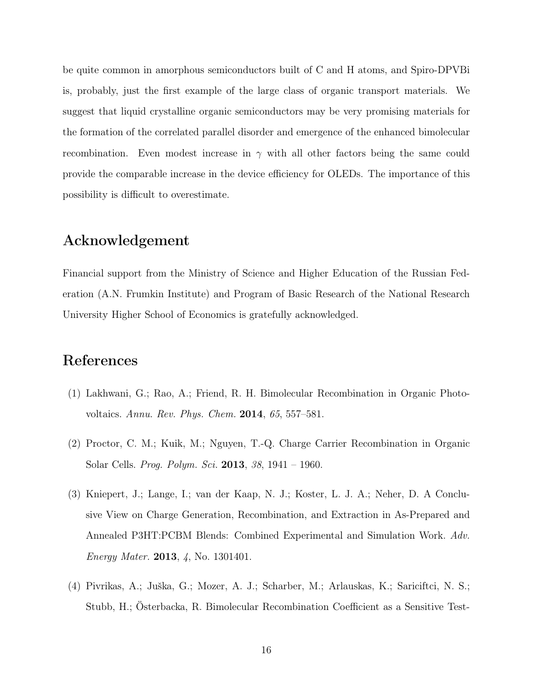be quite common in amorphous semiconductors built of C and H atoms, and Spiro-DPVBi is, probably, just the first example of the large class of organic transport materials. We suggest that liquid crystalline organic semiconductors may be very promising materials for the formation of the correlated parallel disorder and emergence of the enhanced bimolecular recombination. Even modest increase in  $\gamma$  with all other factors being the same could provide the comparable increase in the device efficiency for OLEDs. The importance of this possibility is difficult to overestimate.

### Acknowledgement

Financial support from the Ministry of Science and Higher Education of the Russian Federation (A.N. Frumkin Institute) and Program of Basic Research of the National Research University Higher School of Economics is gratefully acknowledged.

#### References

- <span id="page-15-0"></span>(1) Lakhwani, G.; Rao, A.; Friend, R. H. Bimolecular Recombination in Organic Photovoltaics. *Annu. Rev. Phys. Chem.* 2014, *65*, 557–581.
- (2) Proctor, C. M.; Kuik, M.; Nguyen, T.-Q. Charge Carrier Recombination in Organic Solar Cells. *Prog. Polym. Sci.* 2013, *38*, 1941 – 1960.
- (3) Kniepert, J.; Lange, I.; van der Kaap, N. J.; Koster, L. J. A.; Neher, D. A Conclusive View on Charge Generation, Recombination, and Extraction in As-Prepared and Annealed P3HT:PCBM Blends: Combined Experimental and Simulation Work. *Adv. Energy Mater.* 2013, *4*, No. 1301401.
- (4) Pivrikas, A.; Juška, G.; Mozer, A. J.; Scharber, M.; Arlauskas, K.; Sariciftci, N. S.; Stubb, H.; Österbacka, R. Bimolecular Recombination Coefficient as a Sensitive Test-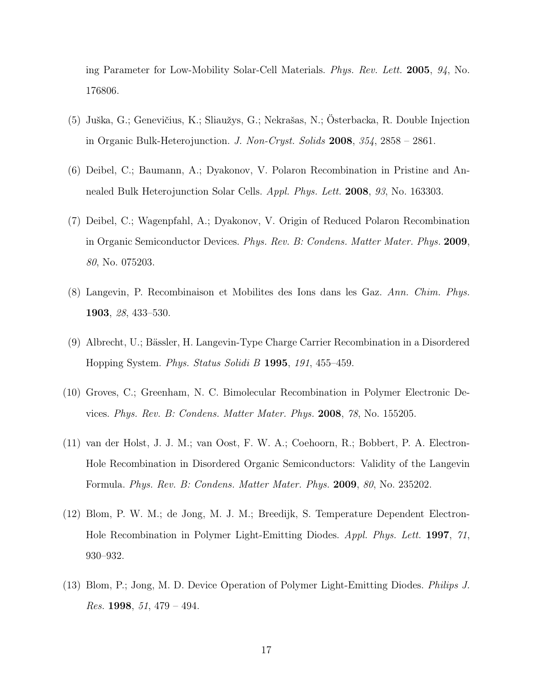ing Parameter for Low-Mobility Solar-Cell Materials. *Phys. Rev. Lett.* 2005, *94*, No. 176806.

- (5) Juška, G.; Genevičius, K.; Sliaužys, G.; Nekrašas, N.; Österbacka, R. Double Injection in Organic Bulk-Heterojunction. *J. Non-Cryst. Solids* 2008, *354*, 2858 – 2861.
- (6) Deibel, C.; Baumann, A.; Dyakonov, V. Polaron Recombination in Pristine and Annealed Bulk Heterojunction Solar Cells. *Appl. Phys. Lett.* 2008, *93*, No. 163303.
- <span id="page-16-0"></span>(7) Deibel, C.; Wagenpfahl, A.; Dyakonov, V. Origin of Reduced Polaron Recombination in Organic Semiconductor Devices. *Phys. Rev. B: Condens. Matter Mater. Phys.* 2009, *80*, No. 075203.
- <span id="page-16-1"></span>(8) Langevin, P. Recombinaison et Mobilites des Ions dans les Gaz. *Ann. Chim. Phys.* 1903, *28*, 433–530.
- <span id="page-16-2"></span>(9) Albrecht, U.; Bässler, H. Langevin-Type Charge Carrier Recombination in a Disordered Hopping System. *Phys. Status Solidi B* 1995, *191*, 455–459.
- (10) Groves, C.; Greenham, N. C. Bimolecular Recombination in Polymer Electronic Devices. *Phys. Rev. B: Condens. Matter Mater. Phys.* 2008, *78*, No. 155205.
- <span id="page-16-3"></span>(11) van der Holst, J. J. M.; van Oost, F. W. A.; Coehoorn, R.; Bobbert, P. A. Electron-Hole Recombination in Disordered Organic Semiconductors: Validity of the Langevin Formula. *Phys. Rev. B: Condens. Matter Mater. Phys.* 2009, *80*, No. 235202.
- <span id="page-16-4"></span>(12) Blom, P. W. M.; de Jong, M. J. M.; Breedijk, S. Temperature Dependent Electron-Hole Recombination in Polymer Light-Emitting Diodes. *Appl. Phys. Lett.* 1997, *71*, 930–932.
- (13) Blom, P.; Jong, M. D. Device Operation of Polymer Light-Emitting Diodes. *Philips J. Res.* 1998, *51*, 479 – 494.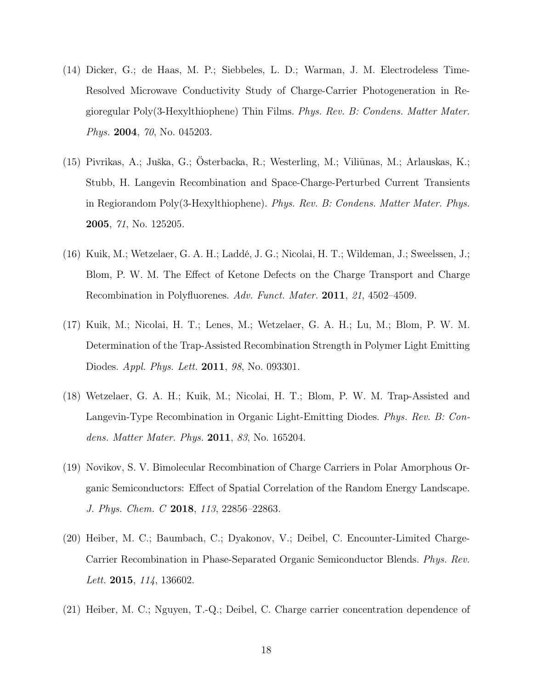- (14) Dicker, G.; de Haas, M. P.; Siebbeles, L. D.; Warman, J. M. Electrodeless Time-Resolved Microwave Conductivity Study of Charge-Carrier Photogeneration in Regioregular Poly(3-Hexylthiophene) Thin Films. *Phys. Rev. B: Condens. Matter Mater. Phys.* 2004, *70*, No. 045203.
- (15) Pivrikas, A.; Juška, G.; Österbacka, R.; Westerling, M.; Viliūnas, M.; Arlauskas, K.; Stubb, H. Langevin Recombination and Space-Charge-Perturbed Current Transients in Regiorandom Poly(3-Hexylthiophene). *Phys. Rev. B: Condens. Matter Mater. Phys.* 2005, *71*, No. 125205.
- (16) Kuik, M.; Wetzelaer, G. A. H.; Laddé, J. G.; Nicolai, H. T.; Wildeman, J.; Sweelssen, J.; Blom, P. W. M. The Effect of Ketone Defects on the Charge Transport and Charge Recombination in Polyfluorenes. *Adv. Funct. Mater.* 2011, *21*, 4502–4509.
- (17) Kuik, M.; Nicolai, H. T.; Lenes, M.; Wetzelaer, G. A. H.; Lu, M.; Blom, P. W. M. Determination of the Trap-Assisted Recombination Strength in Polymer Light Emitting Diodes. *Appl. Phys. Lett.* 2011, *98*, No. 093301.
- <span id="page-17-0"></span>(18) Wetzelaer, G. A. H.; Kuik, M.; Nicolai, H. T.; Blom, P. W. M. Trap-Assisted and Langevin-Type Recombination in Organic Light-Emitting Diodes. *Phys. Rev. B: Condens. Matter Mater. Phys.* 2011, *83*, No. 165204.
- <span id="page-17-1"></span>(19) Novikov, S. V. Bimolecular Recombination of Charge Carriers in Polar Amorphous Organic Semiconductors: Effect of Spatial Correlation of the Random Energy Landscape. *J. Phys. Chem. C* 2018, *113*, 22856–22863.
- <span id="page-17-2"></span>(20) Heiber, M. C.; Baumbach, C.; Dyakonov, V.; Deibel, C. Encounter-Limited Charge-Carrier Recombination in Phase-Separated Organic Semiconductor Blends. *Phys. Rev. Lett.* 2015, *114*, 136602.
- <span id="page-17-3"></span>(21) Heiber, M. C.; Nguyen, T.-Q.; Deibel, C. Charge carrier concentration dependence of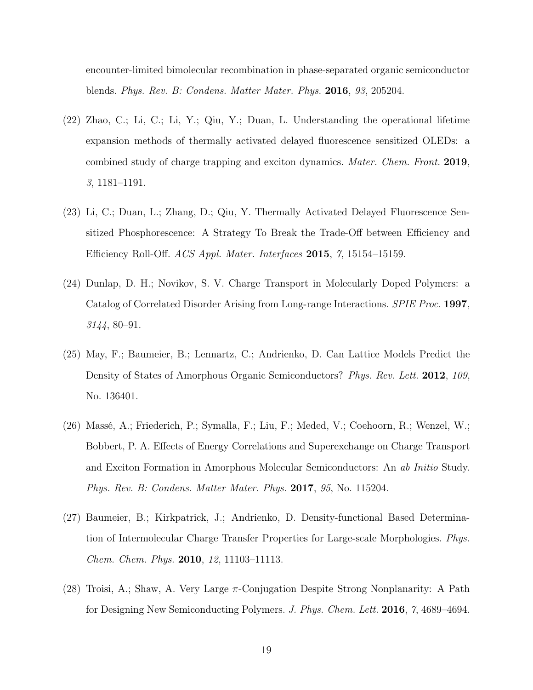encounter-limited bimolecular recombination in phase-separated organic semiconductor blends. *Phys. Rev. B: Condens. Matter Mater. Phys.* 2016, *93*, 205204.

- <span id="page-18-0"></span>(22) Zhao, C.; Li, C.; Li, Y.; Qiu, Y.; Duan, L. Understanding the operational lifetime expansion methods of thermally activated delayed fluorescence sensitized OLEDs: a combined study of charge trapping and exciton dynamics. *Mater. Chem. Front.* 2019, *3*, 1181–1191.
- <span id="page-18-1"></span>(23) Li, C.; Duan, L.; Zhang, D.; Qiu, Y. Thermally Activated Delayed Fluorescence Sensitized Phosphorescence: A Strategy To Break the Trade-Off between Efficiency and Efficiency Roll-Off. *ACS Appl. Mater. Interfaces* 2015, *7*, 15154–15159.
- <span id="page-18-2"></span>(24) Dunlap, D. H.; Novikov, S. V. Charge Transport in Molecularly Doped Polymers: a Catalog of Correlated Disorder Arising from Long-range Interactions. *SPIE Proc.* 1997, *3144*, 80–91.
- <span id="page-18-3"></span>(25) May, F.; Baumeier, B.; Lennartz, C.; Andrienko, D. Can Lattice Models Predict the Density of States of Amorphous Organic Semiconductors? *Phys. Rev. Lett.* 2012, *109*, No. 136401.
- <span id="page-18-4"></span>(26) Massé, A.; Friederich, P.; Symalla, F.; Liu, F.; Meded, V.; Coehoorn, R.; Wenzel, W.; Bobbert, P. A. Effects of Energy Correlations and Superexchange on Charge Transport and Exciton Formation in Amorphous Molecular Semiconductors: An *ab Initio* Study. *Phys. Rev. B: Condens. Matter Mater. Phys.* 2017, *95*, No. 115204.
- <span id="page-18-5"></span>(27) Baumeier, B.; Kirkpatrick, J.; Andrienko, D. Density-functional Based Determination of Intermolecular Charge Transfer Properties for Large-scale Morphologies. *Phys. Chem. Chem. Phys.* 2010, *12*, 11103–11113.
- <span id="page-18-6"></span>(28) Troisi, A.; Shaw, A. Very Large π-Conjugation Despite Strong Nonplanarity: A Path for Designing New Semiconducting Polymers. *J. Phys. Chem. Lett.* 2016, *7*, 4689–4694.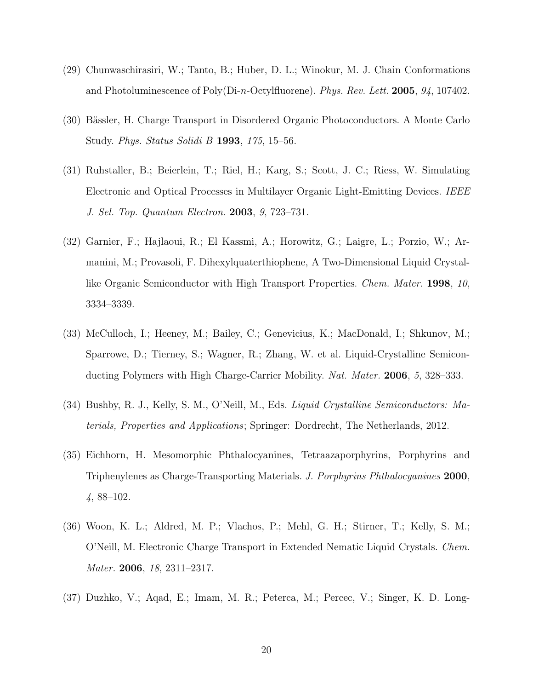- <span id="page-19-0"></span>(29) Chunwaschirasiri, W.; Tanto, B.; Huber, D. L.; Winokur, M. J. Chain Conformations and Photoluminescence of Poly(Di-n-Octylfluorene). *Phys. Rev. Lett.* 2005, *94*, 107402.
- <span id="page-19-1"></span>(30) Bässler, H. Charge Transport in Disordered Organic Photoconductors. A Monte Carlo Study. *Phys. Status Solidi B* 1993, *175*, 15–56.
- <span id="page-19-2"></span>(31) Ruhstaller, B.; Beierlein, T.; Riel, H.; Karg, S.; Scott, J. C.; Riess, W. Simulating Electronic and Optical Processes in Multilayer Organic Light-Emitting Devices. *IEEE J. Sel. Top. Quantum Electron.* 2003, *9*, 723–731.
- <span id="page-19-3"></span>(32) Garnier, F.; Hajlaoui, R.; El Kassmi, A.; Horowitz, G.; Laigre, L.; Porzio, W.; Armanini, M.; Provasoli, F. Dihexylquaterthiophene, A Two-Dimensional Liquid Crystallike Organic Semiconductor with High Transport Properties. *Chem. Mater.* 1998, *10*, 3334–3339.
- (33) McCulloch, I.; Heeney, M.; Bailey, C.; Genevicius, K.; MacDonald, I.; Shkunov, M.; Sparrowe, D.; Tierney, S.; Wagner, R.; Zhang, W. et al. Liquid-Crystalline Semiconducting Polymers with High Charge-Carrier Mobility. *Nat. Mater.* 2006, *5*, 328–333.
- (34) Bushby, R. J., Kelly, S. M., O'Neill, M., Eds. *Liquid Crystalline Semiconductors: Materials, Properties and Applications*; Springer: Dordrecht, The Netherlands, 2012.
- (35) Eichhorn, H. Mesomorphic Phthalocyanines, Tetraazaporphyrins, Porphyrins and Triphenylenes as Charge-Transporting Materials. *J. Porphyrins Phthalocyanines* 2000, *4*, 88–102.
- <span id="page-19-4"></span>(36) Woon, K. L.; Aldred, M. P.; Vlachos, P.; Mehl, G. H.; Stirner, T.; Kelly, S. M.; O'Neill, M. Electronic Charge Transport in Extended Nematic Liquid Crystals. *Chem. Mater.* 2006, *18*, 2311–2317.
- <span id="page-19-5"></span>(37) Duzhko, V.; Aqad, E.; Imam, M. R.; Peterca, M.; Percec, V.; Singer, K. D. Long-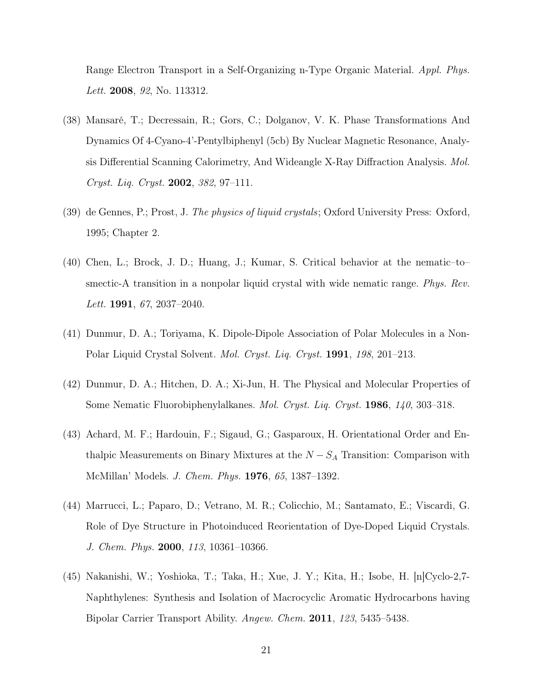Range Electron Transport in a Self-Organizing n-Type Organic Material. *Appl. Phys. Lett.* 2008, *92*, No. 113312.

- <span id="page-20-0"></span>(38) Mansaré, T.; Decressain, R.; Gors, C.; Dolganov, V. K. Phase Transformations And Dynamics Of 4-Cyano-4'-Pentylbiphenyl (5cb) By Nuclear Magnetic Resonance, Analysis Differential Scanning Calorimetry, And Wideangle X-Ray Diffraction Analysis. *Mol. Cryst. Liq. Cryst.* 2002, *382*, 97–111.
- <span id="page-20-1"></span>(39) de Gennes, P.; Prost, J. *The physics of liquid crystals*; Oxford University Press: Oxford, 1995; Chapter 2.
- <span id="page-20-2"></span>(40) Chen, L.; Brock, J. D.; Huang, J.; Kumar, S. Critical behavior at the nematic–to– smectic-A transition in a nonpolar liquid crystal with wide nematic range. *Phys. Rev. Lett.* 1991, *67*, 2037–2040.
- (41) Dunmur, D. A.; Toriyama, K. Dipole-Dipole Association of Polar Molecules in a Non-Polar Liquid Crystal Solvent. *Mol. Cryst. Liq. Cryst.* 1991, *198*, 201–213.
- (42) Dunmur, D. A.; Hitchen, D. A.; Xi-Jun, H. The Physical and Molecular Properties of Some Nematic Fluorobiphenylalkanes. *Mol. Cryst. Liq. Cryst.* 1986, *140*, 303–318.
- <span id="page-20-3"></span>(43) Achard, M. F.; Hardouin, F.; Sigaud, G.; Gasparoux, H. Orientational Order and Enthalpic Measurements on Binary Mixtures at the  $N - S<sub>A</sub>$  Transition: Comparison with McMillan' Models. *J. Chem. Phys.* 1976, *65*, 1387–1392.
- <span id="page-20-4"></span>(44) Marrucci, L.; Paparo, D.; Vetrano, M. R.; Colicchio, M.; Santamato, E.; Viscardi, G. Role of Dye Structure in Photoinduced Reorientation of Dye-Doped Liquid Crystals. *J. Chem. Phys.* 2000, *113*, 10361–10366.
- <span id="page-20-5"></span>(45) Nakanishi, W.; Yoshioka, T.; Taka, H.; Xue, J. Y.; Kita, H.; Isobe, H. [n]Cyclo-2,7- Naphthylenes: Synthesis and Isolation of Macrocyclic Aromatic Hydrocarbons having Bipolar Carrier Transport Ability. *Angew. Chem.* 2011, *123*, 5435–5438.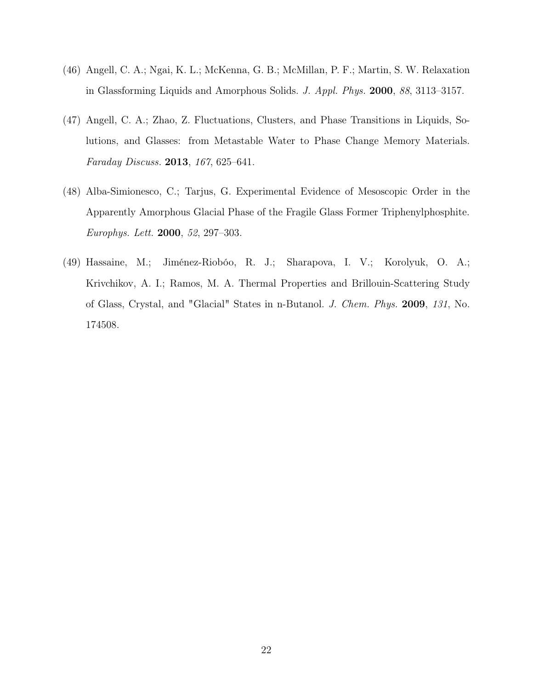- <span id="page-21-0"></span>(46) Angell, C. A.; Ngai, K. L.; McKenna, G. B.; McMillan, P. F.; Martin, S. W. Relaxation in Glassforming Liquids and Amorphous Solids. *J. Appl. Phys.* 2000, *88*, 3113–3157.
- <span id="page-21-1"></span>(47) Angell, C. A.; Zhao, Z. Fluctuations, Clusters, and Phase Transitions in Liquids, Solutions, and Glasses: from Metastable Water to Phase Change Memory Materials. *Faraday Discuss.* 2013, *167*, 625–641.
- <span id="page-21-2"></span>(48) Alba-Simionesco, C.; Tarjus, G. Experimental Evidence of Mesoscopic Order in the Apparently Amorphous Glacial Phase of the Fragile Glass Former Triphenylphosphite. *Europhys. Lett.* 2000, *52*, 297–303.
- <span id="page-21-3"></span>(49) Hassaine, M.; Jiménez-Riobóo, R. J.; Sharapova, I. V.; Korolyuk, O. A.; Krivchikov, A. I.; Ramos, M. A. Thermal Properties and Brillouin-Scattering Study of Glass, Crystal, and "Glacial" States in n-Butanol. *J. Chem. Phys.* 2009, *131*, No. 174508.